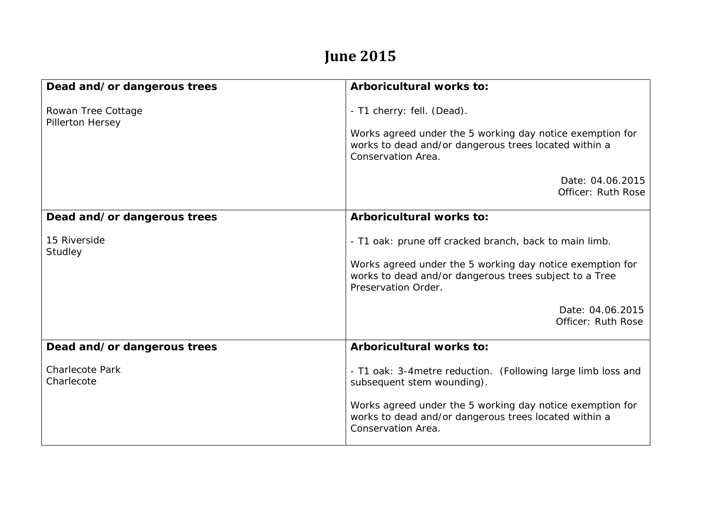## **June 2015**

| Dead and/or dangerous trees            | Arboricultural works to:                                                                                                                                                                             |
|----------------------------------------|------------------------------------------------------------------------------------------------------------------------------------------------------------------------------------------------------|
| Rowan Tree Cottage<br>Pillerton Hersey | - T1 cherry: fell. (Dead).<br>Works agreed under the 5 working day notice exemption for<br>works to dead and/or dangerous trees located within a<br>Conservation Area.                               |
|                                        | Date: 04.06.2015<br>Officer: Ruth Rose                                                                                                                                                               |
| Dead and/or dangerous trees            | Arboricultural works to:                                                                                                                                                                             |
| 15 Riverside<br>Studley                | - T1 oak: prune off cracked branch, back to main limb.<br>Works agreed under the 5 working day notice exemption for<br>works to dead and/or dangerous trees subject to a Tree<br>Preservation Order. |
|                                        | Date: 04.06.2015<br>Officer: Ruth Rose                                                                                                                                                               |
| Dead and/or dangerous trees            | Arboricultural works to:                                                                                                                                                                             |
| <b>Charlecote Park</b><br>Charlecote   | - T1 oak: 3-4 metre reduction. (Following large limb loss and<br>subsequent stem wounding).                                                                                                          |
|                                        | Works agreed under the 5 working day notice exemption for<br>works to dead and/or dangerous trees located within a<br>Conservation Area.                                                             |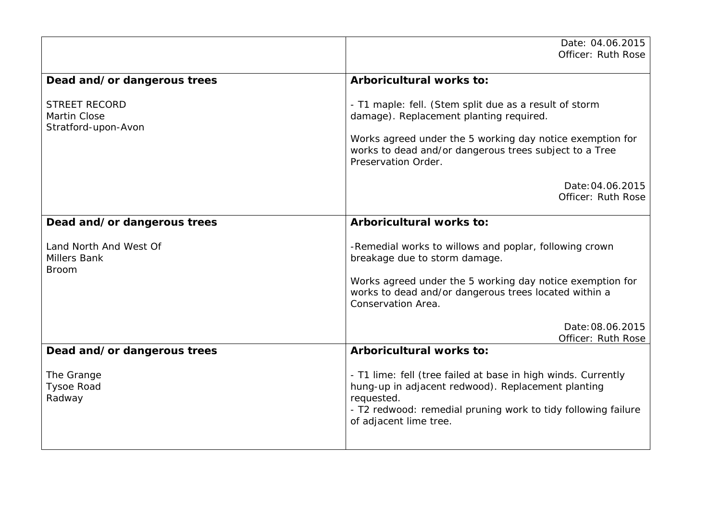|                                                               | Date: 04.06.2015<br>Officer: Ruth Rose                                                                                                                                                                                                          |
|---------------------------------------------------------------|-------------------------------------------------------------------------------------------------------------------------------------------------------------------------------------------------------------------------------------------------|
| Dead and/or dangerous trees                                   | Arboricultural works to:                                                                                                                                                                                                                        |
| <b>STREET RECORD</b><br>Martin Close<br>Stratford-upon-Avon   | - T1 maple: fell. (Stem split due as a result of storm<br>damage). Replacement planting required.<br>Works agreed under the 5 working day notice exemption for<br>works to dead and/or dangerous trees subject to a Tree<br>Preservation Order. |
|                                                               | Date: 04.06.2015<br>Officer: Ruth Rose                                                                                                                                                                                                          |
| Dead and/or dangerous trees                                   | <b>Arboricultural works to:</b>                                                                                                                                                                                                                 |
| Land North And West Of<br><b>Millers Bank</b><br><b>Broom</b> | -Remedial works to willows and poplar, following crown<br>breakage due to storm damage.<br>Works agreed under the 5 working day notice exemption for<br>works to dead and/or dangerous trees located within a                                   |
|                                                               | Conservation Area.                                                                                                                                                                                                                              |
|                                                               | Date: 08.06.2015<br>Officer: Ruth Rose                                                                                                                                                                                                          |
| Dead and/or dangerous trees                                   | <b>Arboricultural works to:</b>                                                                                                                                                                                                                 |
| The Grange<br><b>Tysoe Road</b><br>Radway                     | - T1 lime: fell (tree failed at base in high winds. Currently<br>hung-up in adjacent redwood). Replacement planting<br>requested.<br>- T2 redwood: remedial pruning work to tidy following failure<br>of adjacent lime tree.                    |